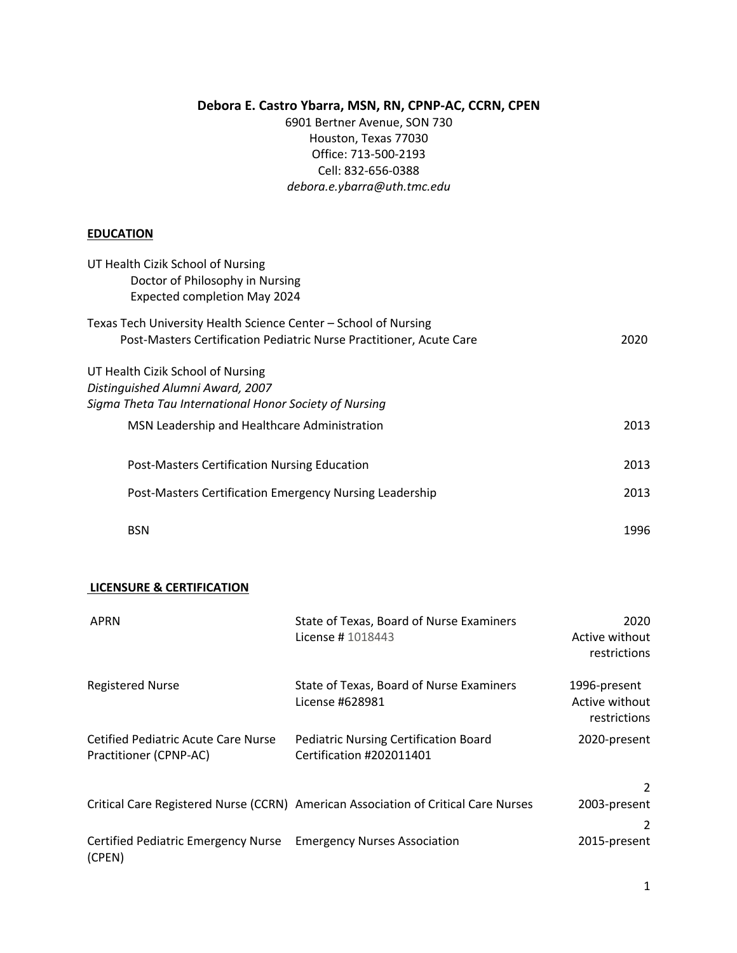## **Debora E. Castro Ybarra, MSN, RN, CPNP-AC, CCRN, CPEN**

6901 Bertner Avenue, SON 730 Houston, Texas 77030 Office: 713-500-2193 Cell: 832-656-0388 *debora.e.ybarra@uth.tmc.edu*

## **EDUCATION**

| UT Health Cizik School of Nursing<br>Doctor of Philosophy in Nursing<br>Expected completion May 2024                                                                                                   |      |
|--------------------------------------------------------------------------------------------------------------------------------------------------------------------------------------------------------|------|
| Texas Tech University Health Science Center – School of Nursing                                                                                                                                        | 2020 |
| Post-Masters Certification Pediatric Nurse Practitioner, Acute Care<br>UT Health Cizik School of Nursing<br>Distinguished Alumni Award, 2007<br>Sigma Theta Tau International Honor Society of Nursing |      |
| MSN Leadership and Healthcare Administration                                                                                                                                                           | 2013 |
| Post-Masters Certification Nursing Education                                                                                                                                                           | 2013 |
| Post-Masters Certification Emergency Nursing Leadership                                                                                                                                                | 2013 |
| <b>BSN</b>                                                                                                                                                                                             | 1996 |

#### **LICENSURE & CERTIFICATION**

| <b>APRN</b>                                                   | State of Texas, Board of Nurse Examiners<br>License # 1018443                      | 2020<br>Active without<br>restrictions         |
|---------------------------------------------------------------|------------------------------------------------------------------------------------|------------------------------------------------|
| <b>Registered Nurse</b>                                       | State of Texas, Board of Nurse Examiners<br>License #628981                        | 1996-present<br>Active without<br>restrictions |
| Cetified Pediatric Acute Care Nurse<br>Practitioner (CPNP-AC) | <b>Pediatric Nursing Certification Board</b><br>Certification #202011401           | 2020-present                                   |
|                                                               |                                                                                    | 2                                              |
|                                                               | Critical Care Registered Nurse (CCRN) American Association of Critical Care Nurses | 2003-present                                   |
|                                                               |                                                                                    | 2                                              |
| Certified Pediatric Emergency Nurse<br>(CPEN)                 | <b>Emergency Nurses Association</b>                                                | 2015-present                                   |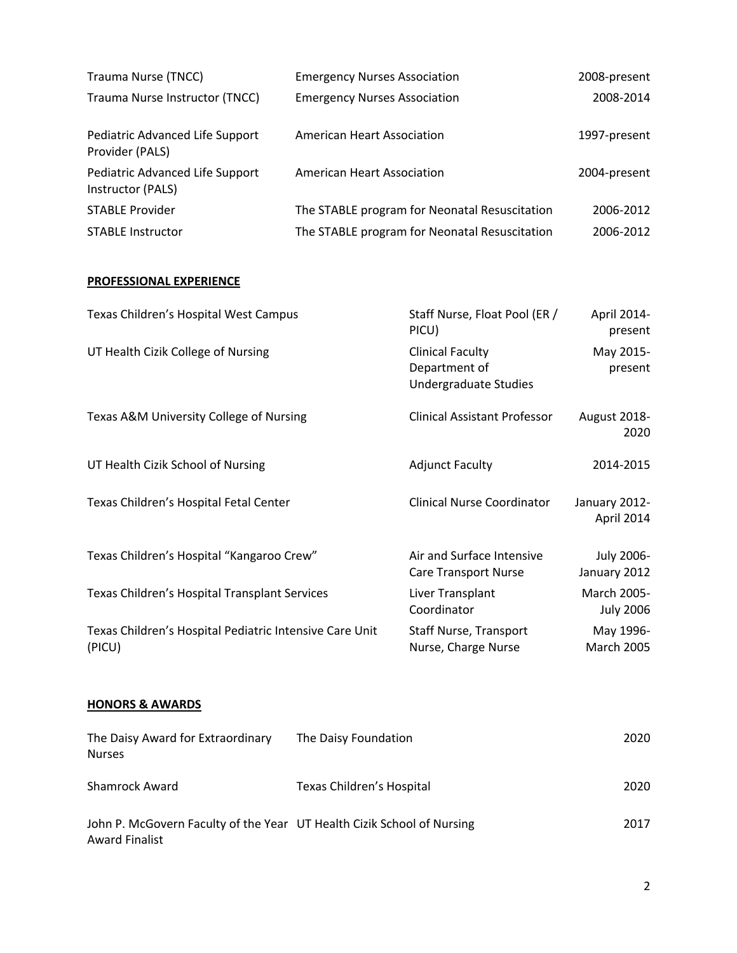| Trauma Nurse (TNCC)                                  | <b>Emergency Nurses Association</b>           | 2008-present |
|------------------------------------------------------|-----------------------------------------------|--------------|
| Trauma Nurse Instructor (TNCC)                       | <b>Emergency Nurses Association</b>           | 2008-2014    |
| Pediatric Advanced Life Support<br>Provider (PALS)   | American Heart Association                    | 1997-present |
| Pediatric Advanced Life Support<br>Instructor (PALS) | American Heart Association                    | 2004-present |
| <b>STABLE Provider</b>                               | The STABLE program for Neonatal Resuscitation | 2006-2012    |
| <b>STABLE Instructor</b>                             | The STABLE program for Neonatal Resuscitation | 2006-2012    |

# **PROFESSIONAL EXPERIENCE**

| Texas Children's Hospital West Campus                             | Staff Nurse, Float Pool (ER /<br>PICU)                            | April 2014-<br>present          |
|-------------------------------------------------------------------|-------------------------------------------------------------------|---------------------------------|
| UT Health Cizik College of Nursing                                | <b>Clinical Faculty</b><br>Department of<br>Undergraduate Studies | May 2015-<br>present            |
| Texas A&M University College of Nursing                           | <b>Clinical Assistant Professor</b>                               | August 2018-<br>2020            |
| UT Health Cizik School of Nursing                                 | <b>Adjunct Faculty</b>                                            | 2014-2015                       |
| Texas Children's Hospital Fetal Center                            | <b>Clinical Nurse Coordinator</b>                                 | January 2012-<br>April 2014     |
| Texas Children's Hospital "Kangaroo Crew"                         | Air and Surface Intensive<br><b>Care Transport Nurse</b>          | July 2006-<br>January 2012      |
| Texas Children's Hospital Transplant Services                     | Liver Transplant<br>Coordinator                                   | March 2005-<br><b>July 2006</b> |
| Texas Children's Hospital Pediatric Intensive Care Unit<br>(PICU) | <b>Staff Nurse, Transport</b><br>Nurse, Charge Nurse              | May 1996-<br><b>March 2005</b>  |

# **HONORS & AWARDS**

| The Daisy Award for Extraordinary<br><b>Nurses</b>                                              | The Daisy Foundation      | 2020 |
|-------------------------------------------------------------------------------------------------|---------------------------|------|
| <b>Shamrock Award</b>                                                                           | Texas Children's Hospital | 2020 |
| John P. McGovern Faculty of the Year UT Health Cizik School of Nursing<br><b>Award Finalist</b> |                           | 2017 |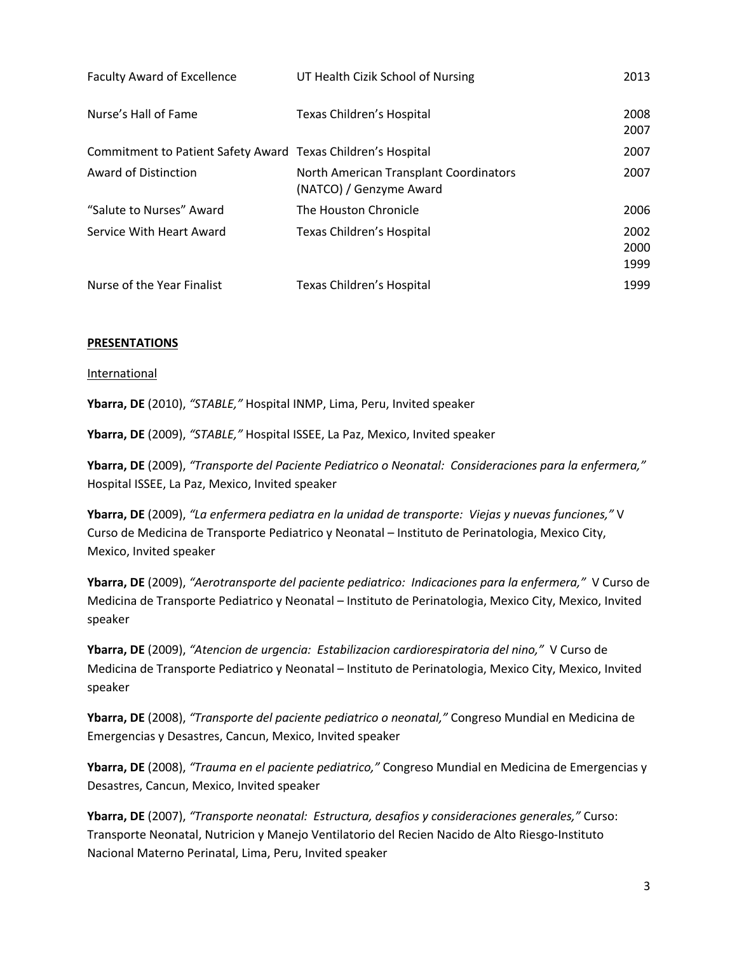| <b>Faculty Award of Excellence</b>                           | UT Health Cizik School of Nursing                                 | 2013                 |
|--------------------------------------------------------------|-------------------------------------------------------------------|----------------------|
| Nurse's Hall of Fame                                         | Texas Children's Hospital                                         | 2008<br>2007         |
| Commitment to Patient Safety Award Texas Children's Hospital |                                                                   | 2007                 |
| Award of Distinction                                         | North American Transplant Coordinators<br>(NATCO) / Genzyme Award | 2007                 |
| "Salute to Nurses" Award                                     | The Houston Chronicle                                             | 2006                 |
| Service With Heart Award                                     | Texas Children's Hospital                                         | 2002<br>2000<br>1999 |
| Nurse of the Year Finalist                                   | Texas Children's Hospital                                         | 1999                 |

### **PRESENTATIONS**

#### International

**Ybarra, DE** (2010), *"STABLE,"* Hospital INMP, Lima, Peru, Invited speaker

**Ybarra, DE** (2009), *"STABLE,"* Hospital ISSEE, La Paz, Mexico, Invited speaker

**Ybarra, DE** (2009), *"Transporte del Paciente Pediatrico o Neonatal: Consideraciones para la enfermera,"*  Hospital ISSEE, La Paz, Mexico, Invited speaker

**Ybarra, DE** (2009), *"La enfermera pediatra en la unidad de transporte: Viejas y nuevas funciones,"* V Curso de Medicina de Transporte Pediatrico y Neonatal – Instituto de Perinatologia, Mexico City, Mexico, Invited speaker

**Ybarra, DE** (2009), *"Aerotransporte del paciente pediatrico: Indicaciones para la enfermera,"* V Curso de Medicina de Transporte Pediatrico y Neonatal – Instituto de Perinatologia, Mexico City, Mexico, Invited speaker

**Ybarra, DE** (2009), *"Atencion de urgencia: Estabilizacion cardiorespiratoria del nino,"* V Curso de Medicina de Transporte Pediatrico y Neonatal – Instituto de Perinatologia, Mexico City, Mexico, Invited speaker

**Ybarra, DE** (2008), *"Transporte del paciente pediatrico o neonatal,"* Congreso Mundial en Medicina de Emergencias y Desastres, Cancun, Mexico, Invited speaker

**Ybarra, DE** (2008), *"Trauma en el paciente pediatrico,"* Congreso Mundial en Medicina de Emergencias y Desastres, Cancun, Mexico, Invited speaker

**Ybarra, DE** (2007), *"Transporte neonatal: Estructura, desafios y consideraciones generales,"* Curso: Transporte Neonatal, Nutricion y Manejo Ventilatorio del Recien Nacido de Alto Riesgo-Instituto Nacional Materno Perinatal, Lima, Peru, Invited speaker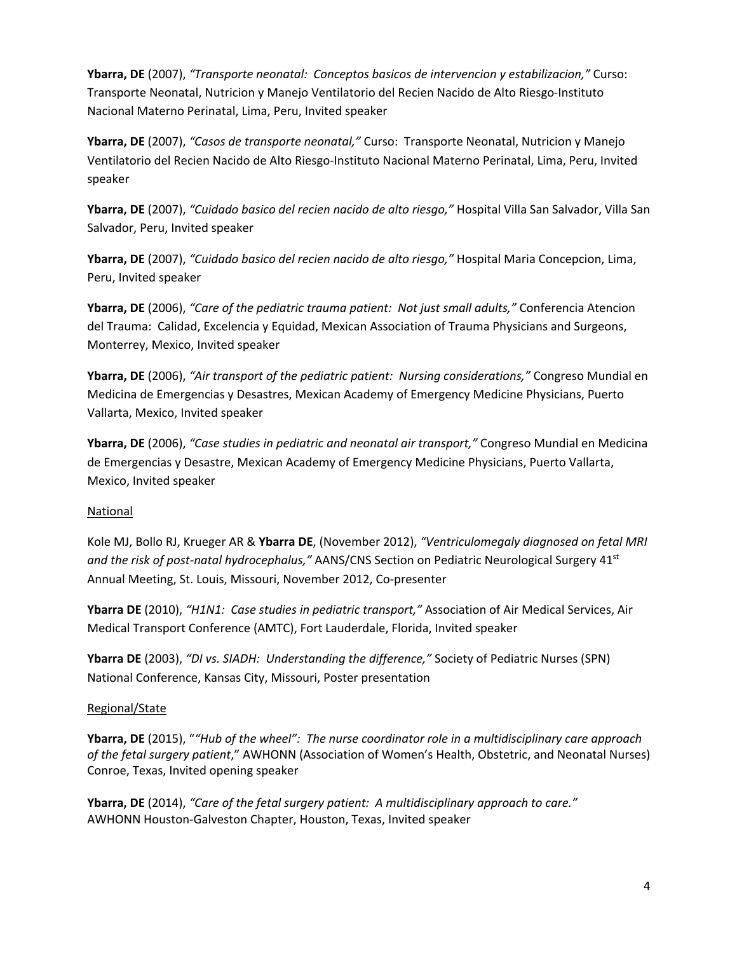**Ybarra, DE** (2007), *"Transporte neonatal: Conceptos basicos de intervencion y estabilizacion,"* Curso: Transporte Neonatal, Nutricion y Manejo Ventilatorio del Recien Nacido de Alto Riesgo-Instituto Nacional Materno Perinatal, Lima, Peru, Invited speaker

**Ybarra, DE** (2007), *"Casos de transporte neonatal,"* Curso: Transporte Neonatal, Nutricion y Manejo Ventilatorio del Recien Nacido de Alto Riesgo-Instituto Nacional Materno Perinatal, Lima, Peru, Invited speaker

**Ybarra, DE** (2007), *"Cuidado basico del recien nacido de alto riesgo,"* Hospital Villa San Salvador, Villa San Salvador, Peru, Invited speaker

**Ybarra, DE** (2007), *"Cuidado basico del recien nacido de alto riesgo,"* Hospital Maria Concepcion, Lima, Peru, Invited speaker

**Ybarra, DE** (2006), *"Care of the pediatric trauma patient: Not just small adults,"* Conferencia Atencion del Trauma: Calidad, Excelencia y Equidad, Mexican Association of Trauma Physicians and Surgeons, Monterrey, Mexico, Invited speaker

**Ybarra, DE** (2006), *"Air transport of the pediatric patient: Nursing considerations,"* Congreso Mundial en Medicina de Emergencias y Desastres, Mexican Academy of Emergency Medicine Physicians, Puerto Vallarta, Mexico, Invited speaker

**Ybarra, DE** (2006), *"Case studies in pediatric and neonatal air transport,"* Congreso Mundial en Medicina de Emergencias y Desastre, Mexican Academy of Emergency Medicine Physicians, Puerto Vallarta, Mexico, Invited speaker

## National

Kole MJ, Bollo RJ, Krueger AR & **Ybarra DE**, (November 2012), *"Ventriculomegaly diagnosed on fetal MRI and the risk of post-natal hydrocephalus,"* AANS/CNS Section on Pediatric Neurological Surgery 41st Annual Meeting, St. Louis, Missouri, November 2012, Co-presenter

**Ybarra DE** (2010), *"H1N1: Case studies in pediatric transport,"* Association of Air Medical Services, Air Medical Transport Conference (AMTC), Fort Lauderdale, Florida, Invited speaker

**Ybarra DE** (2003), *"DI vs. SIADH: Understanding the difference,"* Society of Pediatric Nurses (SPN) National Conference, Kansas City, Missouri, Poster presentation

## Regional/State

**Ybarra, DE** (2015), "*"Hub of the wheel": The nurse coordinator role in a multidisciplinary care approach of the fetal surgery patient*," AWHONN (Association of Women's Health, Obstetric, and Neonatal Nurses) Conroe, Texas, Invited opening speaker

**Ybarra, DE** (2014), *"Care of the fetal surgery patient: A multidisciplinary approach to care."* AWHONN Houston-Galveston Chapter, Houston, Texas, Invited speaker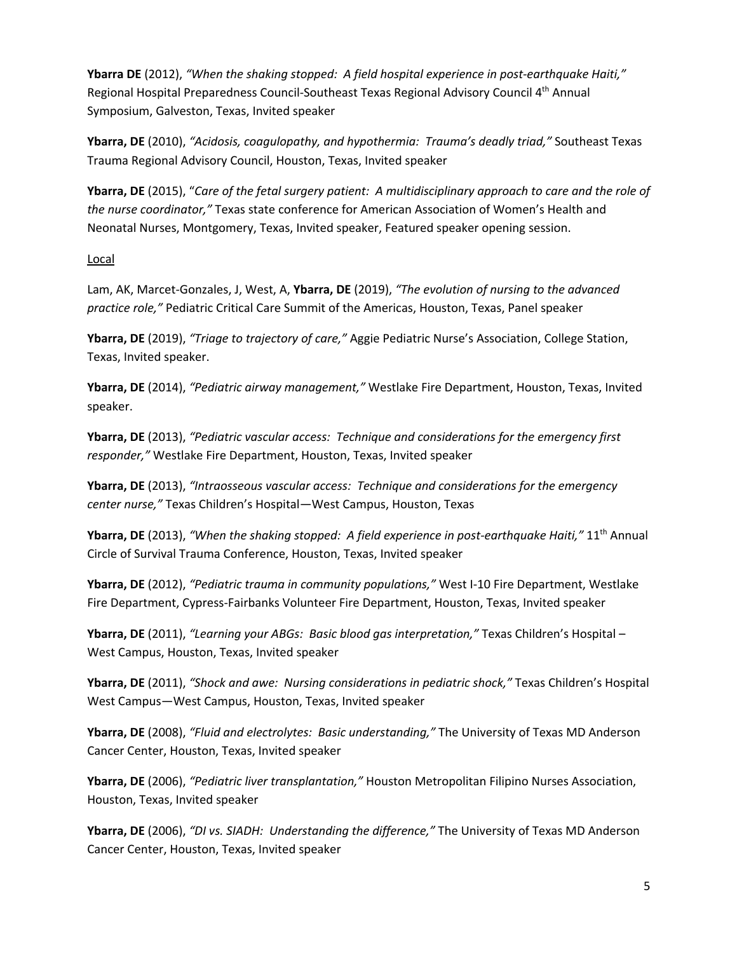**Ybarra DE** (2012), *"When the shaking stopped: A field hospital experience in post-earthquake Haiti,"*  Regional Hospital Preparedness Council-Southeast Texas Regional Advisory Council 4th Annual Symposium, Galveston, Texas, Invited speaker

**Ybarra, DE** (2010), *"Acidosis, coagulopathy, and hypothermia: Trauma's deadly triad,"* Southeast Texas Trauma Regional Advisory Council, Houston, Texas, Invited speaker

**Ybarra, DE** (2015), "*Care of the fetal surgery patient: A multidisciplinary approach to care and the role of the nurse coordinator,"* Texas state conference for American Association of Women's Health and Neonatal Nurses, Montgomery, Texas, Invited speaker, Featured speaker opening session.

## Local

Lam, AK, Marcet-Gonzales, J, West, A, **Ybarra, DE** (2019), *"The evolution of nursing to the advanced practice role,"* Pediatric Critical Care Summit of the Americas, Houston, Texas, Panel speaker

**Ybarra, DE** (2019), *"Triage to trajectory of care,"* Aggie Pediatric Nurse's Association, College Station, Texas, Invited speaker.

**Ybarra, DE** (2014), *"Pediatric airway management,"* Westlake Fire Department, Houston, Texas, Invited speaker.

**Ybarra, DE** (2013), *"Pediatric vascular access: Technique and considerations for the emergency first responder,"* Westlake Fire Department, Houston, Texas, Invited speaker

**Ybarra, DE** (2013), *"Intraosseous vascular access: Technique and considerations for the emergency center nurse,"* Texas Children's Hospital—West Campus, Houston, Texas

**Ybarra, DE** (2013), *"When the shaking stopped: A field experience in post-earthquake Haiti,"* 11th Annual Circle of Survival Trauma Conference, Houston, Texas, Invited speaker

**Ybarra, DE** (2012), *"Pediatric trauma in community populations,"* West I-10 Fire Department, Westlake Fire Department, Cypress-Fairbanks Volunteer Fire Department, Houston, Texas, Invited speaker

**Ybarra, DE** (2011), *"Learning your ABGs: Basic blood gas interpretation,"* Texas Children's Hospital – West Campus, Houston, Texas, Invited speaker

**Ybarra, DE** (2011), *"Shock and awe: Nursing considerations in pediatric shock,"* Texas Children's Hospital West Campus—West Campus, Houston, Texas, Invited speaker

**Ybarra, DE** (2008), *"Fluid and electrolytes: Basic understanding,"* The University of Texas MD Anderson Cancer Center, Houston, Texas, Invited speaker

**Ybarra, DE** (2006), *"Pediatric liver transplantation,"* Houston Metropolitan Filipino Nurses Association, Houston, Texas, Invited speaker

**Ybarra, DE** (2006), *"DI vs. SIADH: Understanding the difference,"* The University of Texas MD Anderson Cancer Center, Houston, Texas, Invited speaker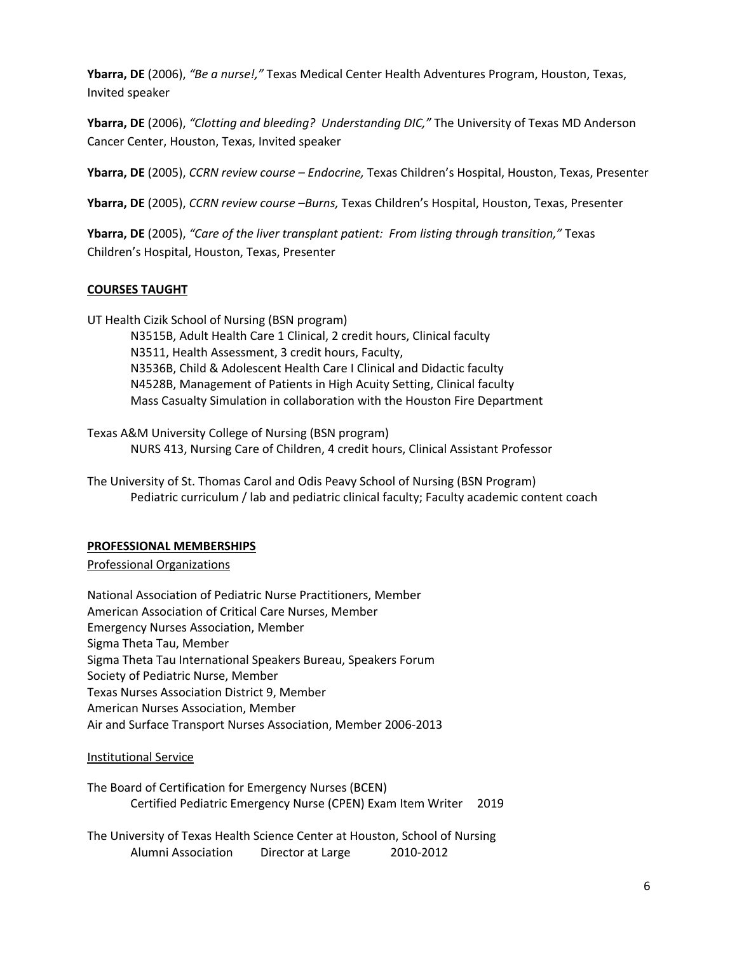**Ybarra, DE** (2006), *"Be a nurse!,"* Texas Medical Center Health Adventures Program, Houston, Texas, Invited speaker

**Ybarra, DE** (2006), *"Clotting and bleeding? Understanding DIC,"* The University of Texas MD Anderson Cancer Center, Houston, Texas, Invited speaker

**Ybarra, DE** (2005), *CCRN review course – Endocrine,* Texas Children's Hospital, Houston, Texas, Presenter

**Ybarra, DE** (2005), *CCRN review course –Burns,* Texas Children's Hospital, Houston, Texas, Presenter

**Ybarra, DE** (2005), *"Care of the liver transplant patient: From listing through transition,"* Texas Children's Hospital, Houston, Texas, Presenter

## **COURSES TAUGHT**

UT Health Cizik School of Nursing (BSN program)

N3515B, Adult Health Care 1 Clinical, 2 credit hours, Clinical faculty N3511, Health Assessment, 3 credit hours, Faculty, N3536B, Child & Adolescent Health Care I Clinical and Didactic faculty N4528B, Management of Patients in High Acuity Setting, Clinical faculty Mass Casualty Simulation in collaboration with the Houston Fire Department

Texas A&M University College of Nursing (BSN program) NURS 413, Nursing Care of Children, 4 credit hours, Clinical Assistant Professor

The University of St. Thomas Carol and Odis Peavy School of Nursing (BSN Program) Pediatric curriculum / lab and pediatric clinical faculty; Faculty academic content coach

### **PROFESSIONAL MEMBERSHIPS**

Professional Organizations

National Association of Pediatric Nurse Practitioners, Member American Association of Critical Care Nurses, Member Emergency Nurses Association, Member Sigma Theta Tau, Member Sigma Theta Tau International Speakers Bureau, Speakers Forum Society of Pediatric Nurse, Member Texas Nurses Association District 9, Member American Nurses Association, Member Air and Surface Transport Nurses Association, Member 2006-2013

## Institutional Service

The Board of Certification for Emergency Nurses (BCEN) Certified Pediatric Emergency Nurse (CPEN) Exam Item Writer 2019

The University of Texas Health Science Center at Houston, School of Nursing Alumni Association Director at Large 2010-2012